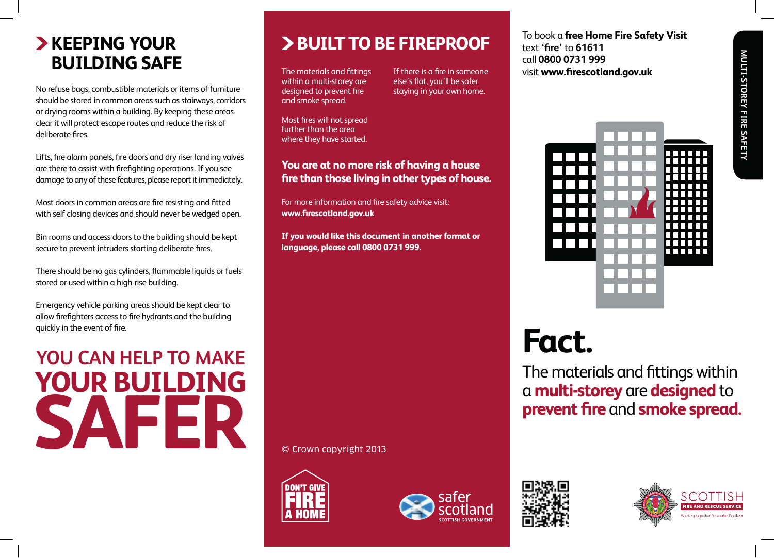### **KEEPING YOUR** 2B **BUILDING SAFE**<br> **BUILDING SAFE BUILDING SAFE**<br>The materials and fittings If there is a fire in<br>Within a multi-storey are less's flat you'll be

No refuse bags, combustible materials or items of furniture should be stored in common areas such as stairways, corridors should be stored in common areas such as stairways, corrid<br>or drying rooms within a building. By keeping these areas clear it will protect escape routes and reduce the risk of deliberate fires.

Lifts, fire alarm panels, fire doors and dry riser landing valves are there to assist with firefighting operations. If you see damage to any of these features, please report it immediately.

Most doors in common areas are fire resisting and fitted with self closing devices and should never be wedged open.

Bin rooms and access doors to the building should be kept secure to prevent intruders starting deliberate fires.

There should be no gas cylinders, flammable liquids or fuels stored or used within a high-rise building.

Emergency vehicle parking areas should be kept clear to allow firefighters access to fire hydrants and the building quickly in the event of fire. Free should be ho gas cylinders, narrimable liquids of riders<br>stored or used within a high-rise building.<br>Emergency vehicle parking areas should be kept clear to<br>allow firefighters access to fire hydrants and the building<br>

### **SAFER YOUR BUILDING** U CAN HELP TO MAKE<br>
U CAN HELP TO MAKE<br>
The materials and fittings with **a multi-storey** are **designed**<br> **a multi-storey** are **designed**<br> **a multi-storey** are **designed**<br> **a multi-storey** are **designed prevent fire** and **smoke spread.** Most doors in common areas are fire resisting and fitted with self-closing devices and should never Bin rooms and access doors to the building should be kept

### **BUILT TO BE FIREPROOF FEDING YOUR SAFET A FIRE SAFET DEPAREMENT OF A SAFET DEPAREMENT OF A SAFET DEPAREMENT OF A TO book a j**

The materials and fittings within a multi-storey are designed to prevent fire and smoke spread.

materials and fittings If there is a fire in someone else's flat, you'll be safer staying in your own home.

Most fires will not spread further than the area where they have started.

### You are at no more risk of having a house fire than those living in other types of house.

For more information and fire safety advice visit: www.firescotland.gov.uk

If you would like this document in another format or **language, please call 0800 0731 999.** where they have started.

To book a **free Home Fire Safety Visit text 'fire' to 61611** call **0800 0731 999** visit **www.firescotland.gov.uk** text **'fire'** to **61611**



# **Fact.**

The materials and fittings within a **multi-storey** are **designed** to **prevent fire** and **smoke spread.**

**If Crown copyright 2013 If you would be the third in another format or**  $\mathbb{R}$